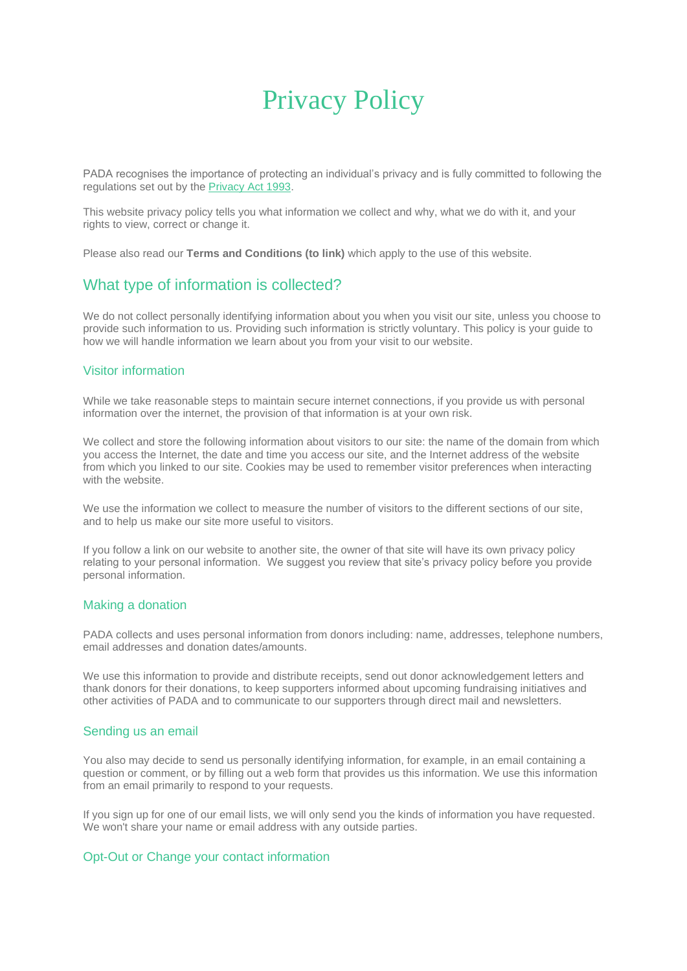# Privacy Policy

PADA recognises the importance of protecting an individual's privacy and is fully committed to following the regulations set out by the [Privacy Act 1993.](http://www.privacy.org.nz/the-privacy-act-and-codes/the-privacy-act/)

This website privacy policy tells you what information we collect and why, what we do with it, and your rights to view, correct or change it.

Please also read our **Terms and Conditions (to link)** which apply to the use of this website.

# What type of information is collected?

We do not collect personally identifying information about you when you visit our site, unless you choose to provide such information to us. Providing such information is strictly voluntary. This policy is your guide to how we will handle information we learn about you from your visit to our website.

#### Visitor information

While we take reasonable steps to maintain secure internet connections, if you provide us with personal information over the internet, the provision of that information is at your own risk.

We collect and store the following information about visitors to our site: the name of the domain from which you access the Internet, the date and time you access our site, and the Internet address of the website from which you linked to our site. Cookies may be used to remember visitor preferences when interacting with the website.

We use the information we collect to measure the number of visitors to the different sections of our site, and to help us make our site more useful to visitors.

If you follow a link on our website to another site, the owner of that site will have its own privacy policy relating to your personal information. We suggest you review that site's privacy policy before you provide personal information.

#### Making a donation

PADA collects and uses personal information from donors including: name, addresses, telephone numbers, email addresses and donation dates/amounts.

We use this information to provide and distribute receipts, send out donor acknowledgement letters and thank donors for their donations, to keep supporters informed about upcoming fundraising initiatives and other activities of PADA and to communicate to our supporters through direct mail and newsletters.

# Sending us an email

You also may decide to send us personally identifying information, for example, in an email containing a question or comment, or by filling out a web form that provides us this information. We use this information from an email primarily to respond to your requests.

If you sign up for one of our email lists, we will only send you the kinds of information you have requested. We won't share your name or email address with any outside parties.

# Opt-Out or Change your contact information